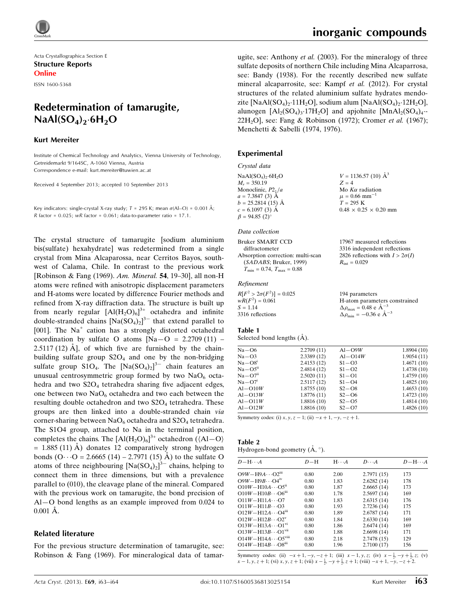Acta Crystallographica Section E Structure Reports Online

ISSN 1600-5368

## Redetermination of tamarugite,  $\textsf{NaAl}(\textsf{SO}_4)_2 \cdot 6\textsf{H}_2\textsf{O}$

#### Kurt Mereiter

Institute of Chemical Technology and Analytics, Vienna University of Technology, Getreidemarkt 9/164SC, A-1060 Vienna, Austria Correspondence e-mail: kurt.mereiter@tuwien.ac.at

Received 4 September 2013; accepted 10 September 2013

Key indicators: single-crystal X-ray study;  $T = 295$  K; mean  $\sigma$ (Al–O) = 0.001 Å; R factor =  $0.025$ ; wR factor =  $0.061$ ; data-to-parameter ratio = 17.1.

The crystal structure of tamarugite [sodium aluminium bis(sulfate) hexahydrate] was redetermined from a single crystal from Mina Alcaparossa, near Cerritos Bayos, southwest of Calama, Chile. In contrast to the previous work [Robinson & Fang (1969). Am. Mineral. 54, 19–30], all non-H atoms were refined with anisotropic displacement parameters and H-atoms were located by difference Fourier methods and refined from X-ray diffraction data. The structure is built up from nearly regular  $[A](H_2O)_6^{3+}$  octahedra and infinite double-stranded chains  $[Na(SO<sub>4</sub>)<sub>2</sub>]<sup>3-</sup>$  that extend parallel to [001]. The  $Na<sup>+</sup>$  cation has a strongly distorted octahedral coordination by sulfate O atoms  $[Na-O = 2.2709(11) 2.5117(12)$  Å, of which five are furnished by the chainbuilding sulfate group  $S2O<sub>4</sub>$  and one by the non-bridging sulfate group  $S1O_4$ . The  $[Na(SO_4)_2]^{3-}$  chain features an unusual centrosymmetric group formed by two  $NaO<sub>6</sub>$  octahedra and two  $S2O<sub>4</sub>$  tetrahedra sharing five adjacent edges, one between two  $NaO<sub>6</sub>$  octahedra and two each between the resulting double octahedron and two  $S2O<sub>4</sub>$  tetrahedra. These groups are then linked into a double-stranded chain via corner-sharing between  $NaO<sub>6</sub>$  octahedra and  $S2O<sub>4</sub>$  tetrahedra. The S1O4 group, attached to Na in the terminal position, completes the chains. The  $[AI(H_2O)_6]^{3+}$  octahedron ( $\langle Al-O \rangle$  $= 1.885$  (11) Å) donates 12 comparatively strong hydrogen bonds  $(O \cdot \cdot O = 2.6665 (14) - 2.7971 (15)$  Å) to the sulfate O atoms of three neighbouring  $[Na(SO<sub>4</sub>)<sub>2</sub>]<sup>3-</sup>$  chains, helping to connect them in three dimensions, but with a prevalence parallel to (010), the cleavage plane of the mineral. Compared with the previous work on tamarugite, the bond precision of Al—O bond lengths as an example improved from 0.024 to  $0.001$  Å.

#### Related literature

For the previous structure determination of tamarugite, see: Robinson & Fang (1969). For mineralogical data of tamar17967 measured reflections 3316 independent reflections 2826 reflections with  $I > 2\sigma(I)$ 

 $R_{\text{int}} = 0.029$ 

ugite, see: Anthony et al. (2003). For the mineralogy of three sulfate deposits of northern Chile including Mina Alcaparrosa, see: Bandy (1938). For the recently described new sulfate mineral alcaparrosite, see: Kampf et al. (2012). For crystal structures of the related aluminium sulfate hydrates mendozite [NaAl(SO<sub>4</sub>)<sub>2</sub>·11H<sub>2</sub>O], sodium alum [NaAl(SO<sub>4</sub>)<sub>2</sub>·12H<sub>2</sub>O], alunogen  $[Al_2(SO_4)_3.17H_2O]$  and apjohnite  $[MnAl_2(SO_4)_4.$ 22H<sub>2</sub>O], see: Fang & Robinson (1972); Cromer et al. (1967); Menchetti & Sabelli (1974, 1976).

#### Experimental

#### Crystal data

| $NaAl(SO4)2·6H2O$    | $V = 1136.57$ (10) $\mathring{A}^3$ |
|----------------------|-------------------------------------|
| $M_r = 350.19$       | $Z = 4$                             |
| Monoclinic, $P2_1/a$ | Mo $K\alpha$ radiation              |
| $a = 7.3847$ (3) A   | $\mu = 0.66$ mm <sup>-1</sup>       |
| $b = 25.2814(15)$ Å  | $T = 295 \text{ K}$                 |
| $c = 6.1097(3)$ A    | $0.48 \times 0.25 \times 0.20$ mm   |
| $\beta = 94.85(2)$ ° |                                     |
|                      |                                     |

#### Data collection

#### Bruker SMART CCD diffractometer

Absorption correction: multi-scan (SADABS; Bruker, 1999)  $T_{\min} = 0.74, T_{\max} = 0.88$ 

#### Refinement

| $R[F^2 > 2\sigma(F^2)] = 0.025$ | 194 parameters                                            |
|---------------------------------|-----------------------------------------------------------|
| $wR(F^2) = 0.061$               | H-atom parameters constrained                             |
| $S = 1.14$                      | $\Delta\rho_{\text{max}} = 0.48 \text{ e} \text{ Å}^{-3}$ |
| 3316 reflections                | $\Delta \rho_{\text{min}} = -0.36$ e $\AA^{-3}$           |

#### Table 1

Selected bond lengths  $(A)$ .

| 2.2709(11) | $Al-O9W$  | 1.8904(10) |
|------------|-----------|------------|
| 2.3389(12) | $Al-O14W$ | 1.9054(11) |
| 2.4153(12) | $S1 - O3$ | 1.4671(10) |
| 2.4814(12) | $S1 - O2$ | 1.4738(10) |
| 2.5020(11) | $S1 - O1$ | 1.4759(10) |
| 2.5117(12) | $S1 - O4$ | 1.4825(10) |
| 1.8755(10) | $S2 - O8$ | 1.4653(10) |
| 1.8776(11) | $S2 - O6$ | 1.4723(10) |
| 1.8816(10) | $S2 - O5$ | 1.4814(10) |
| 1.8816(10) | $S2 - O7$ | 1.4826(10) |
|            |           |            |

Symmetry codes: (i)  $x, y, z - 1$ ; (ii)  $-x + 1, -y, -z + 1$ .

#### Table 2

| Hydrogen-bond geometry $(A, \degree)$ . |  |  |
|-----------------------------------------|--|--|

| $D - H \cdots A$                        | $D-H$ | $H \cdot \cdot \cdot A$ | $D\cdots A$ | $D - H \cdots A$ |
|-----------------------------------------|-------|-------------------------|-------------|------------------|
| $O9W - H9A \cdots O2$ <sup>iii</sup>    | 0.80  | 2.00                    | 2.7971(15)  | 173              |
| $O9W - H9B \cdots O4IV$                 | 0.80  | 1.83                    | 2.6282(14)  | 178              |
| $O10W - H10A \cdots O5ii$               | 0.80  | 1.87                    | 2.6665(14)  | 173              |
| $O10W - H10B \cdots O6m$                | 0.80  | 1.78                    | 2.5697(14)  | 169              |
| $O11W - H11A \cdots O7$                 | 0.80  | 1.83                    | 2.6315(14)  | 176              |
| $O11W - H11BO3$                         | 0.80  | 1.93                    | 2.7236(14)  | 175              |
| $O12W - H12A \cdots O4m$                | 0.80  | 1.89                    | 2.6787(14)  | 171              |
| $O12W - H12B \cdots O2^v$               | 0.80  | 1.84                    | 2.6330(14)  | 169              |
| $O13W - H13A \cdots O1^{vi}$            | 0.80  | 1.86                    | 2.6474(14)  | 169              |
| $O13W - H13B \cdots O1^{vu}$            | 0.80  | 1.88                    | 2.6698(14)  | 171              |
| $O14W - H14A \cdots O5$ <sup>viii</sup> | 0.80  | 2.18                    | 2.7478(15)  | 129              |
| $O14W - H14B\cdots O8m$                 | 0.80  | 1.96                    | 2.7100(17)  | 156              |

Symmetry codes: (ii)  $-x+1, -y, -z+1$ ; (iii)  $x-1, y, z$ ; (iv)  $x-\frac{1}{2}, -y+\frac{1}{2}, z$ ; (v)  $x-1, y, z+1$ ; (vi)  $x, y, z+1$ ; (vii)  $x-\frac{1}{2}, -y+\frac{1}{2}, z+1$ ; (viii)  $-x+1, -y, -z+2$ .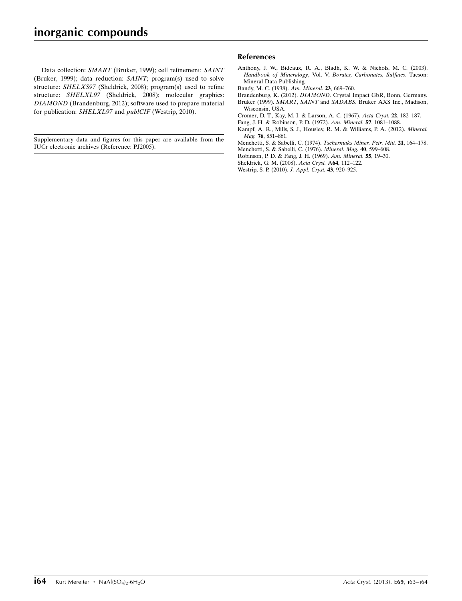Data collection: SMART (Bruker, 1999); cell refinement: SAINT (Bruker, 1999); data reduction: SAINT; program(s) used to solve structure: SHELXS97 (Sheldrick, 2008); program(s) used to refine structure: SHELXL97 (Sheldrick, 2008); molecular graphics: DIAMOND (Brandenburg, 2012); software used to prepare material for publication: SHELXL97 and *publCIF* (Westrip, 2010).

Supplementary data and figures for this paper are available from the IUCr electronic archives (Reference: PJ2005).

#### References

- [Anthony, J. W., Bideaux, R. A., Bladh, K. W. & Nichols, M. C. \(2003\).](http://scripts.iucr.org/cgi-bin/cr.cgi?rm=pdfbb&cnor=pj2005&bbid=BB1) Handbook of Mineralogy, Vol. V, [Borates, Carbonates, Sulfates](http://scripts.iucr.org/cgi-bin/cr.cgi?rm=pdfbb&cnor=pj2005&bbid=BB1). Tucson: [Mineral Data Publishing.](http://scripts.iucr.org/cgi-bin/cr.cgi?rm=pdfbb&cnor=pj2005&bbid=BB1)
- [Bandy, M. C. \(1938\).](http://scripts.iucr.org/cgi-bin/cr.cgi?rm=pdfbb&cnor=pj2005&bbid=BB2) Am. Mineral. 23, 669–760.
- Brandenburg, K. (2012). DIAMOND. [Crystal Impact GbR, Bonn, Germany.](http://scripts.iucr.org/cgi-bin/cr.cgi?rm=pdfbb&cnor=pj2005&bbid=BB3)
- Bruker (1999). SMART, SAINT and SADABS[. Bruker AXS Inc., Madison,](http://scripts.iucr.org/cgi-bin/cr.cgi?rm=pdfbb&cnor=pj2005&bbid=BB4) [Wisconsin, USA.](http://scripts.iucr.org/cgi-bin/cr.cgi?rm=pdfbb&cnor=pj2005&bbid=BB4)
- [Cromer, D. T., Kay, M. I. & Larson, A. C. \(1967\).](http://scripts.iucr.org/cgi-bin/cr.cgi?rm=pdfbb&cnor=pj2005&bbid=BB5) Acta Cryst. 22, 182–187.
- [Fang, J. H. & Robinson, P. D. \(1972\).](http://scripts.iucr.org/cgi-bin/cr.cgi?rm=pdfbb&cnor=pj2005&bbid=BB6) Am. Mineral. 57, 1081–1088.
- [Kampf, A. R., Mills, S. J., Housley, R. M. & Williams, P. A. \(2012\).](http://scripts.iucr.org/cgi-bin/cr.cgi?rm=pdfbb&cnor=pj2005&bbid=BB7) Mineral. Mag. **76**, 851-861.
- [Menchetti, S. & Sabelli, C. \(1974\).](http://scripts.iucr.org/cgi-bin/cr.cgi?rm=pdfbb&cnor=pj2005&bbid=BB8) Tschermaks Miner. Petr. Mitt. 21, 164–178.
- [Menchetti, S. & Sabelli, C. \(1976\).](http://scripts.iucr.org/cgi-bin/cr.cgi?rm=pdfbb&cnor=pj2005&bbid=BB9) Mineral. Mag. 40, 599–608.
- [Robinson, P. D. & Fang, J. H. \(1969\).](http://scripts.iucr.org/cgi-bin/cr.cgi?rm=pdfbb&cnor=pj2005&bbid=BB10) Am. Mineral. 55, 19–30.
- [Sheldrick, G. M. \(2008\).](http://scripts.iucr.org/cgi-bin/cr.cgi?rm=pdfbb&cnor=pj2005&bbid=BB11) Acta Cryst. A64, 112–122.
- [Westrip, S. P. \(2010\).](http://scripts.iucr.org/cgi-bin/cr.cgi?rm=pdfbb&cnor=pj2005&bbid=BB12) J. Appl. Cryst. 43, 920–925.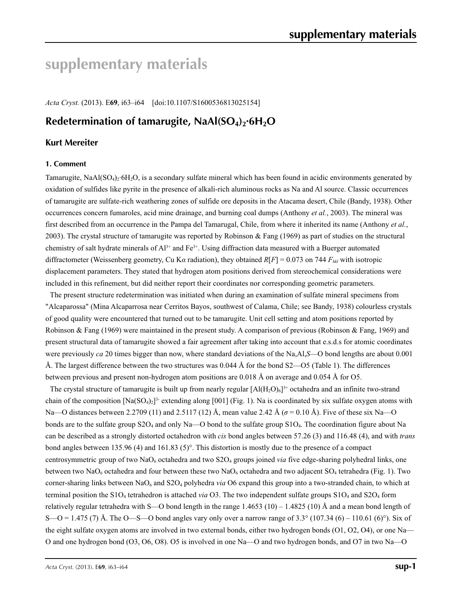# **supplementary materials**

*Acta Cryst.* (2013). E**69**, i63–i64 [doi:10.1107/S1600536813025154]

## **Redetermination of tamarugite, NaAl(SO<sub>4</sub>)<sub>2</sub>·6H<sub>2</sub>O**

## **Kurt Mereiter**

#### **1. Comment**

Tamarugite,  $N\text{aAl}(SO_4)_2\text{·}6H_2O$ , is a secondary sulfate mineral which has been found in acidic environments generated by oxidation of sulfides like pyrite in the presence of alkali-rich aluminous rocks as Na and Al source. Classic occurrences of tamarugite are sulfate-rich weathering zones of sulfide ore deposits in the Atacama desert, Chile (Bandy, 1938). Other occurrences concern fumaroles, acid mine drainage, and burning coal dumps (Anthony *et al.*, 2003). The mineral was first described from an occurrence in the Pampa del Tamarugal, Chile, from where it inherited its name (Anthony *et al.*, 2003). The crystal structure of tamarugite was reported by Robinson & Fang (1969) as part of studies on the structural chemistry of salt hydrate minerals of  $Al^{3+}$  and  $Fe^{3+}$ . Using diffraction data measured with a Buerger automated diffractometer (Weissenberg geometry, Cu K*α* radiation), they obtained *R*[*F*] = 0.073 on 744 *Fhkl* with isotropic displacement parameters. They stated that hydrogen atom positions derived from stereochemical considerations were included in this refinement, but did neither report their coordinates nor corresponding geometric parameters.

The present structure redetermination was initiated when during an examination of sulfate mineral specimens from "Alcaparossa" (Mina Alcaparrosa near Cerritos Bayos, southwest of Calama, Chile; see Bandy, 1938) colourless crystals of good quality were encountered that turned out to be tamarugite. Unit cell setting and atom positions reported by Robinson & Fang (1969) were maintained in the present study. A comparison of previous (Robinson & Fang, 1969) and present structural data of tamarugite showed a fair agreement after taking into account that e.s.d.s for atomic coordinates were previously *ca* 20 times bigger than now, where standard deviations of the Na,Al,*S*—O bond lengths are about 0.001 Å. The largest difference between the two structures was 0.044 Å for the bond S2—O5 (Table 1). The differences between previous and present non-hydrogen atom positions are 0.018 Å on average and 0.054 Å for O5.

The crystal structure of tamarugite is built up from nearly regular  $[A(H_2O)_6]^3$ <sup>+</sup> octahedra and an infinite two-strand chain of the composition  $[Na(SO<sub>4</sub>)<sub>2</sub>]<sup>3</sup>$  extending along [001] (Fig. 1). Na is coordinated by six sulfate oxygen atoms with Na—O distances between 2.2709 (11) and 2.5117 (12) Å, mean value 2.42 Å (*σ* = 0.10 Å). Five of these six Na—O bonds are to the sulfate group S2O4 and only Na—O bond to the sulfate group S1O4. The coordination figure about Na can be described as a strongly distorted octahedron with *cis* bond angles between 57.26 (3) and 116.48 (4), and with *trans* bond angles between 135.96 (4) and 161.83 (5)°. This distortion is mostly due to the presence of a compact centrosymmetric group of two NaO<sub>6</sub> octahedra and two S2O<sub>4</sub> groups joined *via* five edge-sharing polyhedral links, one between two NaO<sub>6</sub> octahedra and four between these two NaO<sub>6</sub> octahedra and two adjacent SO<sub>4</sub> tetrahedra (Fig. 1). Two corner-sharing links between NaO<sub>6</sub> and S2O<sub>4</sub> polyhedra *via* O6 expand this group into a two-stranded chain, to which at terminal position the S1O4 tetrahedron is attached *via* O3. The two independent sulfate groups S1O4 and S2O4 form relatively regular tetrahedra with S—O bond length in the range  $1.4653 (10) - 1.4825 (10)$  Å and a mean bond length of S—O = 1.475 (7) Å. The O—S—O bond angles vary only over a narrow range of 3.3° (107.34 (6) – 110.61 (6)°). Six of the eight sulfate oxygen atoms are involved in two external bonds, either two hydrogen bonds (O1, O2, O4), or one Na— O and one hydrogen bond (O3, O6, O8). O5 is involved in one Na—O and two hydrogen bonds, and O7 in two Na—O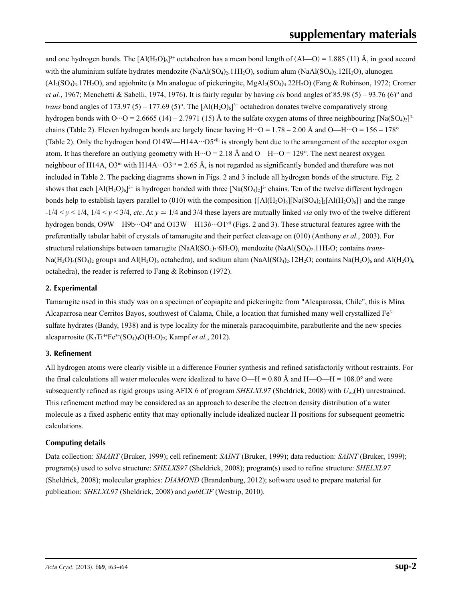and one hydrogen bonds. The  $[AI(H_2O)_6]^{3+}$  octahedron has a mean bond length of  $\langle Al-O \rangle = 1.885$  (11) Å, in good accord with the aluminium sulfate hydrates mendozite (NaAl(SO<sub>4</sub>) $\cdot$ , 11H<sub>2</sub>O), sodium alum (NaAl(SO<sub>4</sub>) $\cdot$ , 12H<sub>2</sub>O), alunogen  $(A_2(SO_4), 17H_2O)$ , and apjohnite (a Mn analogue of pickeringite, MgAl<sub>2</sub>(SO<sub>4</sub>)<sub>4</sub>.22H<sub>2</sub>O) (Fang & Robinson, 1972; Cromer *et al.*, 1967; Menchetti & Sabelli, 1974, 1976). It is fairly regular by having *cis* bond angles of 85.98 (5) – 93.76 (6)° and *trans* bond angles of 173.97 (5) – 177.69 (5)°. The  $[A(H_2O)_6]$ <sup>3+</sup> octahedron donates twelve comparatively strong hydrogen bonds with O···O = 2.6665 (14) – 2.7971 (15) Å to the sulfate oxygen atoms of three neighbouring  $[Na(SQ<sub>4</sub>)<sub>2</sub>]$ <sup>3</sup>chains (Table 2). Eleven hydrogen bonds are largely linear having  $H \cdot D = 1.78 - 2.00$  Å and  $O-H \cdot D = 156 - 178^\circ$ (Table 2). Only the hydrogen bond O14W—H14A···O5viii is strongly bent due to the arrangement of the acceptor oxgen atom. It has therefore an outlying geometry with  $H \cdot \cdot \cdot O = 2.18$  Å and  $O - H \cdot \cdot \cdot O = 129$ °. The next nearest oxygen neighbour of H14A,  $O3^{iii}$  with H14A··· $O3^{iii} = 2.65$  Å, is not regarded as significantly bonded and therefore was not included in Table 2. The packing diagrams shown in Figs. 2 and 3 include all hydrogen bonds of the structure. Fig. 2 shows that each  $[A](H_2O)_6]^{3+}$  is hydrogen bonded with three  $[Na(SO_4)_7]^{3-}$  chains. Ten of the twelve different hydrogen bonds help to establish layers parallel to (010) with the composition  $\{[A1(H_2O)_6][Na(SO_4)_2][A(H_2O)_6]\}$  and the range  $-1/4 < y < 1/4$ ,  $1/4 < y < 3/4$ , *etc*. At  $y \approx 1/4$  and 3/4 these layers are mutually linked *via* only two of the twelve different hydrogen bonds, O9W—H9b···O4<sup>v</sup> and O13W—H13*b*···O1<sup>vii</sup> (Figs. 2 and 3). These structural features agree with the preferentially tabular habit of crystals of tamarugite and their perfect cleavage on (010) (Anthony *et al.*, 2003). For structural relationships between tamarugite (NaAl(SO4)2·6H2O), mendozite (NaAl(SO4)2.11H2O; contains *trans*- $Na(H_2O)_4(SO_4)_2$  groups and  $Al(H_2O)_6$  octahedra), and sodium alum  $(NaAl(SO_4)_2.12H_2O)$ ; contains  $Na(H_2O)_6$  and  $Al(H_2O)_6$ octahedra), the reader is referred to Fang & Robinson (1972).

### **2. Experimental**

Tamarugite used in this study was on a specimen of copiapite and pickeringite from "Alcaparossa, Chile", this is Mina Alcaparrosa near Cerritos Bayos, southwest of Calama, Chile, a location that furnished many well crystallized Fe3+ sulfate hydrates (Bandy, 1938) and is type locality for the minerals paracoquimbite, parabutlerite and the new species alcaparrosite  $(K_3Ti^{4+}Fe^{3+}(SO_4)_4O(H_2O)_2$ ; Kampf *et al.*, 2012).

### **3. Refinement**

All hydrogen atoms were clearly visible in a difference Fourier synthesis and refined satisfactorily without restraints. For the final calculations all water molecules were idealized to have  $O-H = 0.80 \text{ Å}$  and  $H-O-H = 108.0^{\circ}$  and were subsequently refined as rigid groups using AFIX 6 of program *SHELXL97* (Sheldrick, 2008) with *U*iso(H) unrestrained. This refinement method may be considered as an approach to describe the electron density distribution of a water molecule as a fixed aspheric entity that may optionally include idealized nuclear H positions for subsequent geometric calculations.

### **Computing details**

Data collection: *SMART* (Bruker, 1999); cell refinement: *SAINT* (Bruker, 1999); data reduction: *SAINT* (Bruker, 1999); program(s) used to solve structure: *SHELXS97* (Sheldrick, 2008); program(s) used to refine structure: *SHELXL97* (Sheldrick, 2008); molecular graphics: *DIAMOND* (Brandenburg, 2012); software used to prepare material for publication: *SHELXL97* (Sheldrick, 2008) and *publCIF* (Westrip, 2010).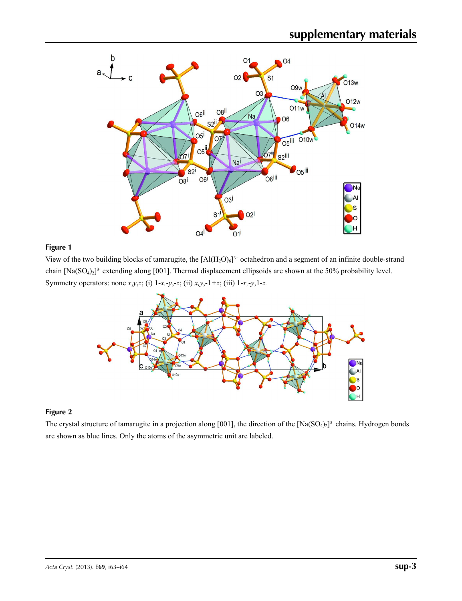

## **Figure 1**

View of the two building blocks of tamarugite, the  $[AI(H_2O)_6]^{3+}$  octahedron and a segment of an infinite double-strand chain  $[Na(SO<sub>4</sub>)<sub>2</sub>]<sup>3</sup>$  extending along [001]. Thermal displacement ellipsoids are shown at the 50% probability level. Symmetry operators: none *x*,*y*,*z*; (i) 1-*x,*-*y*,-*z*; (ii) *x,y*,-1*+z*; (iii) 1-*x,*-*y*,1-*z.*



## **Figure 2**

The crystal structure of tamarugite in a projection along [001], the direction of the  $[Na(SO<sub>4</sub>)<sub>2</sub>]$ <sup>3</sup> chains. Hydrogen bonds are shown as blue lines. Only the atoms of the asymmetric unit are labeled.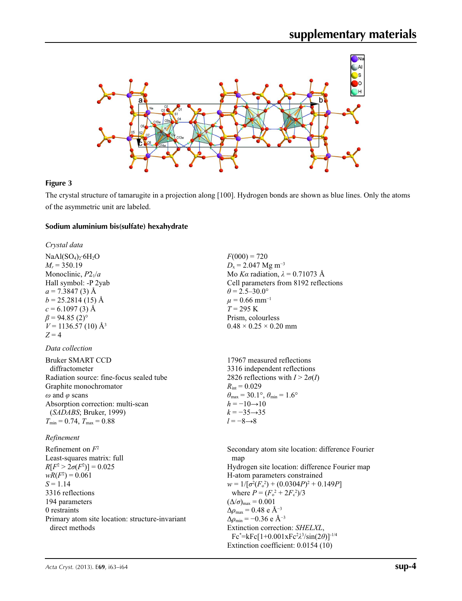

#### **Figure 3**

The crystal structure of tamarugite in a projection along [100]. Hydrogen bonds are shown as blue lines. Only the atoms of the asymmetric unit are labeled.

#### **Sodium aluminium bis(sulfate) hexahydrate**

*Crystal data*

 $NaAl(SO<sub>4</sub>)<sub>2</sub>·6H<sub>2</sub>O$  $M_r = 350.19$ Monoclinic, *P*21/*a* Hall symbol: -P 2yab  $a = 7.3847(3)$  Å  $b = 25.2814(15)$  Å  $c = 6.1097(3)$  Å  $\beta$  = 94.85 (2)<sup>o</sup>  $V = 1136.57(10)$  Å<sup>3</sup>  $Z = 4$ 

#### *Data collection*

| Bruker SMART CCD                         |
|------------------------------------------|
| diffractometer                           |
| Radiation source: fine-focus sealed tube |
| Graphite monochromator                   |
| $\omega$ and $\varphi$ scans             |
| Absorption correction: multi-scan        |
| (SADABS; Bruker, 1999)                   |
| $T_{\min} = 0.74$ , $T_{\max} = 0.88$    |

#### *Refinement*

Refinement on *F*<sup>2</sup> Least-squares matrix: full  $R[F^2 > 2\sigma(F^2)] = 0.025$  $wR(F^2) = 0.061$  $S = 1.14$ 3316 reflections 194 parameters 0 restraints Primary atom site location: structure-invariant direct methods

 $F(000) = 720$  $D_x = 2.047$  Mg m<sup>-3</sup> Mo *Kα* radiation,  $\lambda = 0.71073$  Å Cell parameters from 8192 reflections  $\theta$  = 2.5–30.0°  $\mu$  = 0.66 mm<sup>-1</sup> *T* = 295 K Prism, colourless  $0.48 \times 0.25 \times 0.20$  mm

17967 measured reflections 3316 independent reflections 2826 reflections with  $I > 2\sigma(I)$  $R_{\text{int}} = 0.029$  $\theta_{\text{max}} = 30.1^{\circ}, \theta_{\text{min}} = 1.6^{\circ}$  $h = -10 \rightarrow 10$  $k = -35 \rightarrow 35$ *l* = −8→8

Secondary atom site location: difference Fourier map Hydrogen site location: difference Fourier map H-atom parameters constrained  $w = 1/[\sigma^2 (F_o^2) + (0.0304P)^2 + 0.149P]$ where  $P = (F_o^2 + 2F_c^2)/3$  $(\Delta/\sigma)_{\text{max}} = 0.001$  $\Delta\rho_{\text{max}} = 0.48$  e Å<sup>-3</sup>  $\Delta\rho_{\text{min}} = -0.36$  e Å<sup>-3</sup> Extinction correction: *SHELXL*, Fc\* =kFc[1+0.001xFc2 *λ*3 /sin(2*θ*)]-1/4 Extinction coefficient: 0.0154 (10)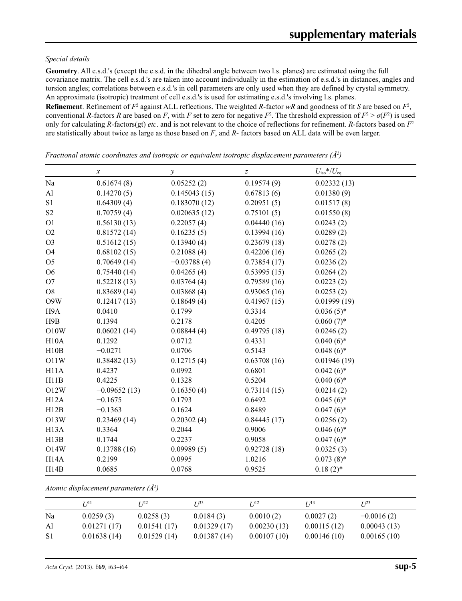#### *Special details*

**Geometry**. All e.s.d.'s (except the e.s.d. in the dihedral angle between two l.s. planes) are estimated using the full covariance matrix. The cell e.s.d.'s are taken into account individually in the estimation of e.s.d.'s in distances, angles and torsion angles; correlations between e.s.d.'s in cell parameters are only used when they are defined by crystal symmetry. An approximate (isotropic) treatment of cell e.s.d.'s is used for estimating e.s.d.'s involving l.s. planes.

**Refinement**. Refinement of  $F^2$  against ALL reflections. The weighted R-factor wR and goodness of fit *S* are based on  $F^2$ , conventional *R*-factors *R* are based on *F*, with *F* set to zero for negative  $F^2$ . The threshold expression of  $F^2 > \sigma(F^2)$  is used only for calculating *R*-factors(gt) *etc*. and is not relevant to the choice of reflections for refinement. *R*-factors based on *F*<sup>2</sup> are statistically about twice as large as those based on *F*, and *R*- factors based on ALL data will be even larger.

*x*  $U_{\text{iso}}$  *x*  $U_{\text{iso}}$  *x*  $U_{\text{iso}}$  *x*  $U_{\text{iso}}$  *x*  $U_{\text{iso}}$  *x*  $U_{\text{iso}}$  *x*  $U_{\text{iso}}$ Na  $0.61674(8)$   $0.05252(2)$   $0.19574(9)$   $0.02332(13)$ Al 0.14270 (5) 0.145043 (15) 0.67813 (6) 0.01380 (9) S1 0.64309 (4) 0.183070 (12) 0.20951 (5) 0.01517 (8) S2 0.70759 (4) 0.020635 (12) 0.75101 (5) 0.01550 (8) O1  $0.56130 (13)$   $0.22057 (4)$   $0.04440 (16)$   $0.0243 (2)$ O2 0.81572 (14) 0.16235 (5) 0.13994 (16) 0.0289 (2) O3 0.51612 (15) 0.13940 (4) 0.23679 (18) 0.0278 (2) O4 0.68102 (15) 0.21088 (4) 0.42206 (16) 0.0265 (2) O5 0.70649 (14) −0.03788 (4) 0.73854 (17) 0.0236 (2) O6 0.75440 (14) 0.04265 (4) 0.53995 (15) 0.0264 (2) O7 0.52218 (13) 0.03764 (4) 0.79589 (16) 0.0223 (2) O8 0.83689 (14) 0.03868 (4) 0.93065 (16) 0.0253 (2) O9W 0.12417 (13) 0.18649 (4) 0.41967 (15) 0.01999 (19) H9A 0.0410 0.1799 0.3314 0.036 (5)\* H9B 0.1394 0.2178 0.4205 0.60 (7)\* O10W 0.06021 (14) 0.08844 (4) 0.49795 (18) 0.0246 (2) H10A  $0.1292$   $0.0712$   $0.4331$   $0.040(6)^*$ H10B  $-0.0271$  0.0706 0.5143 0.048 (6)\* O11W 0.38482 (13) 0.12715 (4) 0.63708 (16) 0.01946 (19) H11A  $0.4237$   $0.0992$   $0.6801$   $0.042(6)*$ H11B  $0.4225$   $0.1328$   $0.5204$   $0.040(6)^*$ O12W  $-0.09652(13)$  0.16350 (4) 0.73114 (15) 0.0214 (2) H12A  $-0.1675$  0.1793 0.6492 0.045 (6)\* H12B  $-0.1363$   $0.1624$   $0.8489$   $0.047(6)^*$ O13W 0.23469 (14) 0.20302 (4) 0.84445 (17) 0.0256 (2) H13A  $0.3364$   $0.2044$   $0.9006$   $0.046(6)^*$ H13B 0.1744 0.2237 0.9058 0.047 (6)\* O14W 0.13788 (16) 0.09989 (5) 0.92728 (18) 0.0325 (3) H14A  $0.2199$   $0.0995$   $1.0216$   $0.073 \text{ (8)}$ \* H14B  $0.0685$   $0.0768$   $0.9525$   $0.18(2)^*$ 

*Fractional atomic coordinates and isotropic or equivalent isotropic displacement parameters (Å<sup>2</sup>)* 

*Atomic displacement parameters (Å2 )*

|    | $I^{11}$    | T 122       | $I^{\beta 3}$ | I 112       | I/13        | $I^{23}$     |
|----|-------------|-------------|---------------|-------------|-------------|--------------|
| Na | 0.0259(3)   | 0.0258(3)   | 0.0184(3)     | 0.0010(2)   | 0.0027(2)   | $-0.0016(2)$ |
| Al | 0.01271(17) | 0.01541(17) | 0.01329(17)   | 0.00230(13) | 0.00115(12) | 0.00043(13)  |
| S1 | 0.01638(14) | 0.01529(14) | 0.01387(14)   | 0.00107(10) | 0.00146(10) | 0.00165(10)  |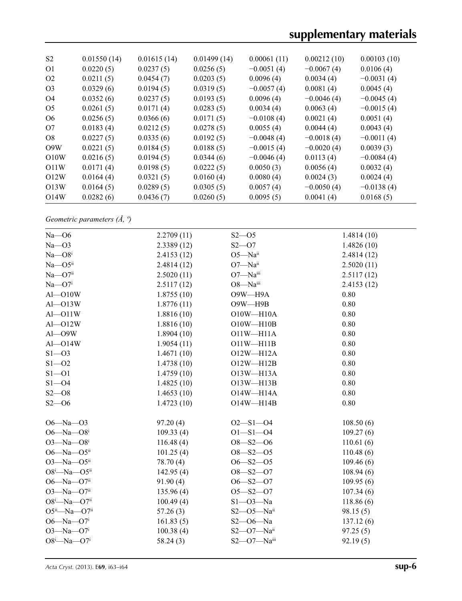# **supplementary materials**

| S <sub>2</sub>    | 0.01550(14) | 0.01615(14) | 0.01499(14) | 0.00061(11)  | 0.00212(10)  | 0.00103(10)  |
|-------------------|-------------|-------------|-------------|--------------|--------------|--------------|
| O <sub>1</sub>    | 0.0220(5)   | 0.0237(5)   | 0.0256(5)   | $-0.0051(4)$ | $-0.0067(4)$ | 0.0106(4)    |
| O <sub>2</sub>    | 0.0211(5)   | 0.0454(7)   | 0.0203(5)   | 0.0096(4)    | 0.0034(4)    | $-0.0031(4)$ |
| O <sub>3</sub>    | 0.0329(6)   | 0.0194(5)   | 0.0319(5)   | $-0.0057(4)$ | 0.0081(4)    | 0.0045(4)    |
| O <sub>4</sub>    | 0.0352(6)   | 0.0237(5)   | 0.0193(5)   | 0.0096(4)    | $-0.0046(4)$ | $-0.0045(4)$ |
| O <sub>5</sub>    | 0.0261(5)   | 0.0171(4)   | 0.0283(5)   | 0.0034(4)    | 0.0063(4)    | $-0.0015(4)$ |
| O <sub>6</sub>    | 0.0256(5)   | 0.0366(6)   | 0.0171(5)   | $-0.0108(4)$ | 0.0021(4)    | 0.0051(4)    |
| O7                | 0.0183(4)   | 0.0212(5)   | 0.0278(5)   | 0.0055(4)    | 0.0044(4)    | 0.0043(4)    |
| O8                | 0.0227(5)   | 0.0335(6)   | 0.0192(5)   | $-0.0048(4)$ | $-0.0018(4)$ | $-0.0011(4)$ |
| O <sub>9</sub> W  | 0.0221(5)   | 0.0184(5)   | 0.0188(5)   | $-0.0015(4)$ | $-0.0020(4)$ | 0.0039(3)    |
| O10W              | 0.0216(5)   | 0.0194(5)   | 0.0344(6)   | $-0.0046(4)$ | 0.0113(4)    | $-0.0084(4)$ |
| O <sub>11</sub> W | 0.0171(4)   | 0.0198(5)   | 0.0222(5)   | 0.0050(3)    | 0.0056(4)    | 0.0032(4)    |
| O12W              | 0.0164(4)   | 0.0321(5)   | 0.0160(4)   | 0.0080(4)    | 0.0024(3)    | 0.0024(4)    |
| O13W              | 0.0164(5)   | 0.0289(5)   | 0.0305(5)   | 0.0057(4)    | $-0.0050(4)$ | $-0.0138(4)$ |
| O14W              | 0.0282(6)   | 0.0436(7)   | 0.0260(5)   | 0.0095(5)    | 0.0041(4)    | 0.0168(5)    |

*Geometric parameters (Å, º)*

| $Na$ - $O6$                  | 2.2709(11) | $S2 - 05$           | 1.4814(10) |
|------------------------------|------------|---------------------|------------|
| $Na - O3$                    | 2.3389(12) | $S2 - 07$           | 1.4826(10) |
| $Na - O8i$                   | 2.4153(12) | $O5 - Naii$         | 2.4814(12) |
| $Na$ $-$ O5 <sup>ii</sup>    | 2.4814(12) | $O7 - Naii$         | 2.5020(11) |
| $Na$ — $O7$ <sup>ii</sup>    | 2.5020(11) | O7-Naii             | 2.5117(12) |
| $Na$ — $O7i$                 | 2.5117(12) | O8-Naiii            | 2.4153(12) |
| $Al$ $-$ O $10W$             | 1.8755(10) | O9W-H9A             | 0.80       |
| $Al$ - $O13W$                | 1.8776(11) | $O9W - H9B$         | 0.80       |
| $Al$ $-$ O $11W$             | 1.8816(10) | $O10W - H10A$       | 0.80       |
| $Al$ - $O12W$                | 1.8816(10) | $O10W - H10B$       | 0.80       |
| $Al$ -O9W                    | 1.8904(10) | $O11W - H11A$       | 0.80       |
| $Al$ - $O14W$                | 1.9054(11) | $O11W - H11B$       | 0.80       |
| $S1 - 03$                    | 1.4671(10) | $O12W - H12A$       | 0.80       |
| $S1 - 02$                    | 1.4738(10) | $O12W - H12B$       | 0.80       |
| $S1 - 01$                    | 1.4759(10) | O13W-H13A           | 0.80       |
| $S1 - 04$                    | 1.4825(10) | O13W-H13B           | 0.80       |
| $S2 - 08$                    | 1.4653(10) | O14W-H14A           | 0.80       |
| $S2 - 06$                    | 1.4723(10) | $O14W - H14B$       | 0.80       |
| $O6 - Na - O3$               | 97.20(4)   | $O2 - S1 - O4$      | 108.50(6)  |
| O6- $Na$ -O8 <sup>i</sup>    | 109.33(4)  | $O1 - S1 - O4$      | 109.27(6)  |
| $O3 - Na - O8$ <sup>i</sup>  | 116.48(4)  | $O8 - S2 - O6$      | 110.61(6)  |
| O6-Na-O5 $ii$                | 101.25(4)  | $O8 - S2 - O5$      | 110.48(6)  |
| O3- $Na$ -O5 $ii$            | 78.70 (4)  | $O6 - S2 - O5$      | 109.46(6)  |
| $O8^i$ -Na- $O5^{ii}$        | 142.95(4)  | $O8 - S2 - O7$      | 108.94(6)  |
| $O6 - Na - O7$ <sup>ii</sup> | 91.90(4)   | $O6 - S2 - O7$      | 109.95(6)  |
| $O3 - Na - O7$ <sup>ii</sup> | 135.96(4)  | $O5 - S2 - O7$      | 107.34(6)  |
| $O8^i$ -Na- $O7^i$           | 100.49(4)  | $S1 - O3 - Na$      | 118.86(6)  |
| $O5^{ii}$ —Na—O7ii           | 57.26(3)   | $S2 - 05 - Na^{ii}$ | 98.15(5)   |
| $O6 - Na - O7$ <sup>i</sup>  | 161.83(5)  | $S2 - 06 - Na$      | 137.12(6)  |
| $O3 - Na - O7$ <sup>i</sup>  | 100.38(4)  | $S2 - O7 - Naii$    | 97.25(5)   |
| $O8^i$ -Na- $O7^i$           | 58.24(3)   | $S2$ —O7—Naiii      | 92.19(5)   |
|                              |            |                     |            |